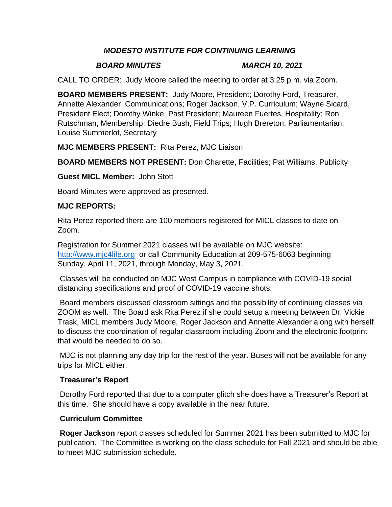## *MODESTO INSTITUTE FOR CONTINUING LEARNING*

#### *BOARD MINUTES MARCH 10, 2021*

CALL TO ORDER: Judy Moore called the meeting to order at 3:25 p.m. via Zoom.

**BOARD MEMBERS PRESENT:** Judy Moore, President; Dorothy Ford, Treasurer, Annette Alexander, Communications; Roger Jackson, V.P. Curriculum; Wayne Sicard, President Elect; Dorothy Winke, Past President; Maureen Fuertes, Hospitality; Ron Rutschman, Membership; Diedre Bush, Field Trips; Hugh Brereton, Parliamentarian; Louise Summerlot, Secretary

## **MJC MEMBERS PRESENT:** Rita Perez, MJC Liaison

**BOARD MEMBERS NOT PRESENT:** Don Charette, Facilities; Pat Williams, Publicity

#### **Guest MICL Member:** John Stott

Board Minutes were approved as presented.

## **MJC REPORTS:**

Rita Perez reported there are 100 members registered for MICL classes to date on Zoom.

Registration for Summer 2021 classes will be available on MJC website: [http://www.mjc4life.org](http://www.mjc4life.org/) or call Community Education at 209-575-6063 beginning Sunday, April 11, 2021, through Monday, May 3, 2021.

Classes will be conducted on MJC West Campus in compliance with COVID-19 social distancing specifications and proof of COVID-19 vaccine shots.

Board members discussed classroom sittings and the possibility of continuing classes via ZOOM as well. The Board ask Rita Perez if she could setup a meeting between Dr. Vickie Trask, MICL members Judy Moore, Roger Jackson and Annette Alexander along with herself to discuss the coordination of regular classroom including Zoom and the electronic footprint that would be needed to do so.

MJC is not planning any day trip for the rest of the year. Buses will not be available for any trips for MICL either.

## **Treasurer's Report**

Dorothy Ford reported that due to a computer glitch she does have a Treasurer's Report at this time. She should have a copy available in the near future.

## **Curriculum Committee**

**Roger Jackson** report classes scheduled for Summer 2021 has been submitted to MJC for publication. The Committee is working on the class schedule for Fall 2021 and should be able to meet MJC submission schedule.